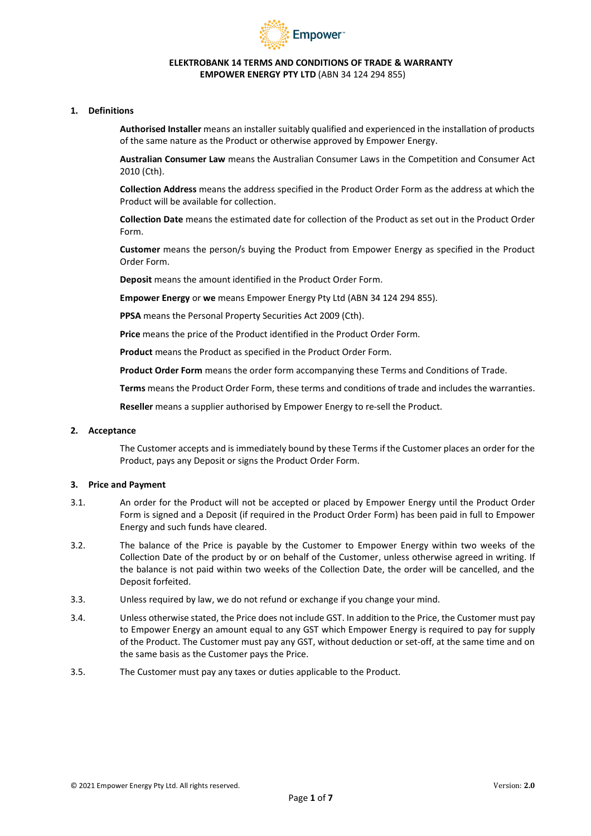

### **ELEKTROBANK 14 TERMS AND CONDITIONS OF TRADE & WARRANTY EMPOWER ENERGY PTY LTD** (ABN 34 124 294 855)

### **1. Definitions**

**Authorised Installer** means an installer suitably qualified and experienced in the installation of products of the same nature as the Product or otherwise approved by Empower Energy.

**Australian Consumer Law** means the Australian Consumer Laws in the Competition and Consumer Act 2010 (Cth).

**Collection Address** means the address specified in the Product Order Form as the address at which the Product will be available for collection.

**Collection Date** means the estimated date for collection of the Product as set out in the Product Order Form.

**Customer** means the person/s buying the Product from Empower Energy as specified in the Product Order Form.

**Deposit** means the amount identified in the Product Order Form.

**Empower Energy** or **we** means Empower Energy Pty Ltd (ABN 34 124 294 855).

**PPSA** means the Personal Property Securities Act 2009 (Cth).

**Price** means the price of the Product identified in the Product Order Form.

**Product** means the Product as specified in the Product Order Form.

**Product Order Form** means the order form accompanying these Terms and Conditions of Trade.

**Terms** means the Product Order Form, these terms and conditions of trade and includes the warranties.

**Reseller** means a supplier authorised by Empower Energy to re-sell the Product.

#### **2. Acceptance**

The Customer accepts and is immediately bound by these Terms if the Customer places an order for the Product, pays any Deposit or signs the Product Order Form.

#### **3. Price and Payment**

- 3.1. An order for the Product will not be accepted or placed by Empower Energy until the Product Order Form is signed and a Deposit (if required in the Product Order Form) has been paid in full to Empower Energy and such funds have cleared.
- 3.2. The balance of the Price is payable by the Customer to Empower Energy within two weeks of the Collection Date of the product by or on behalf of the Customer, unless otherwise agreed in writing. If the balance is not paid within two weeks of the Collection Date, the order will be cancelled, and the Deposit forfeited.
- 3.3. Unless required by law, we do not refund or exchange if you change your mind.
- 3.4. Unless otherwise stated, the Price does not include GST. In addition to the Price, the Customer must pay to Empower Energy an amount equal to any GST which Empower Energy is required to pay for supply of the Product. The Customer must pay any GST, without deduction or set-off, at the same time and on the same basis as the Customer pays the Price.
- 3.5. The Customer must pay any taxes or duties applicable to the Product.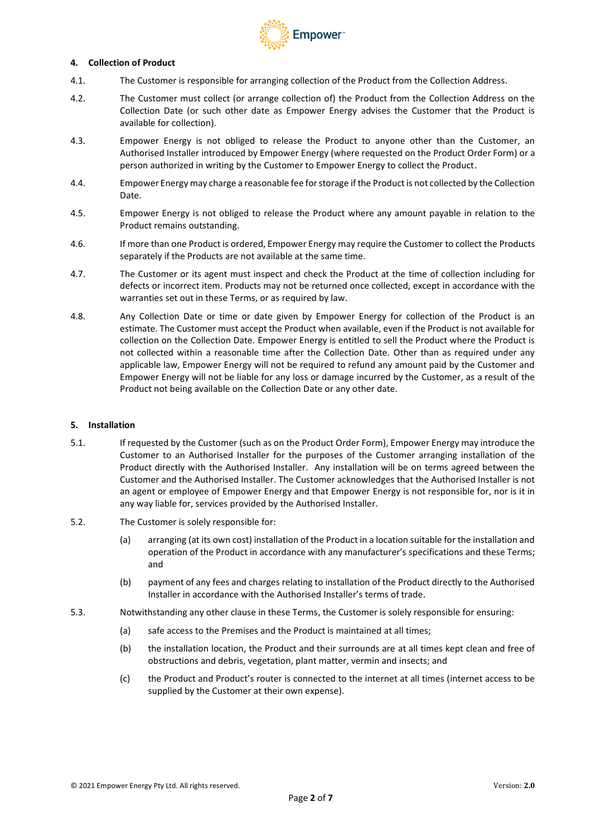

### **4. Collection of Product**

- 4.1. The Customer is responsible for arranging collection of the Product from the Collection Address.
- 4.2. The Customer must collect (or arrange collection of) the Product from the Collection Address on the Collection Date (or such other date as Empower Energy advises the Customer that the Product is available for collection).
- 4.3. Empower Energy is not obliged to release the Product to anyone other than the Customer, an Authorised Installer introduced by Empower Energy (where requested on the Product Order Form) or a person authorized in writing by the Customer to Empower Energy to collect the Product.
- 4.4. Empower Energy may charge a reasonable fee for storage if the Product is not collected by the Collection Date.
- 4.5. Empower Energy is not obliged to release the Product where any amount payable in relation to the Product remains outstanding.
- 4.6. If more than one Product is ordered, Empower Energy may require the Customer to collect the Products separately if the Products are not available at the same time.
- 4.7. The Customer or its agent must inspect and check the Product at the time of collection including for defects or incorrect item. Products may not be returned once collected, except in accordance with the warranties set out in these Terms, or as required by law.
- 4.8. Any Collection Date or time or date given by Empower Energy for collection of the Product is an estimate. The Customer must accept the Product when available, even if the Product is not available for collection on the Collection Date. Empower Energy is entitled to sell the Product where the Product is not collected within a reasonable time after the Collection Date. Other than as required under any applicable law, Empower Energy will not be required to refund any amount paid by the Customer and Empower Energy will not be liable for any loss or damage incurred by the Customer, as a result of the Product not being available on the Collection Date or any other date.

#### **5. Installation**

- 5.1. If requested by the Customer (such as on the Product Order Form), Empower Energy may introduce the Customer to an Authorised Installer for the purposes of the Customer arranging installation of the Product directly with the Authorised Installer. Any installation will be on terms agreed between the Customer and the Authorised Installer. The Customer acknowledges that the Authorised Installer is not an agent or employee of Empower Energy and that Empower Energy is not responsible for, nor is it in any way liable for, services provided by the Authorised Installer.
- 5.2. The Customer is solely responsible for:
	- (a) arranging (at its own cost) installation of the Product in a location suitable for the installation and operation of the Product in accordance with any manufacturer's specifications and these Terms; and
	- (b) payment of any fees and charges relating to installation of the Product directly to the Authorised Installer in accordance with the Authorised Installer's terms of trade.
- 5.3. Notwithstanding any other clause in these Terms, the Customer is solely responsible for ensuring:
	- (a) safe access to the Premises and the Product is maintained at all times;
	- (b) the installation location, the Product and their surrounds are at all times kept clean and free of obstructions and debris, vegetation, plant matter, vermin and insects; and
	- (c) the Product and Product's router is connected to the internet at all times (internet access to be supplied by the Customer at their own expense).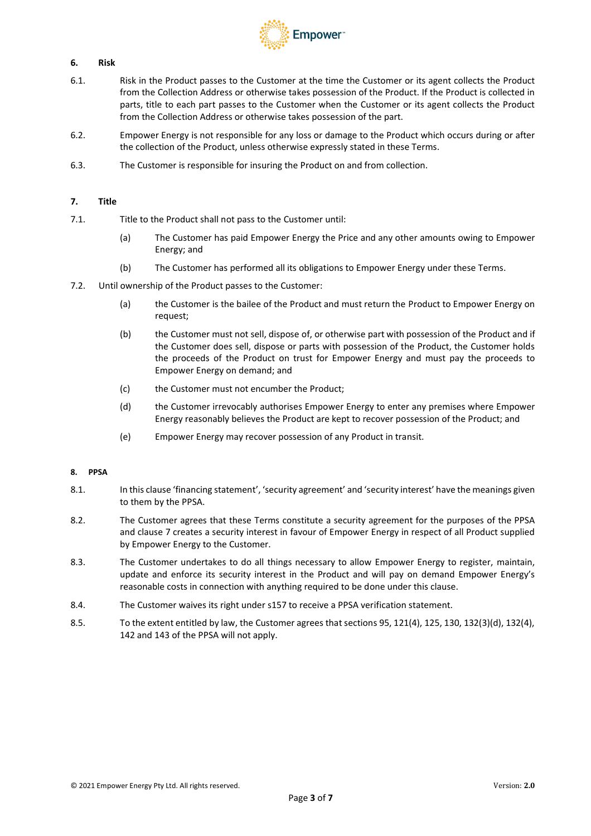

# **6. Risk**

- 6.1. Risk in the Product passes to the Customer at the time the Customer or its agent collects the Product from the Collection Address or otherwise takes possession of the Product. If the Product is collected in parts, title to each part passes to the Customer when the Customer or its agent collects the Product from the Collection Address or otherwise takes possession of the part.
- 6.2. Empower Energy is not responsible for any loss or damage to the Product which occurs during or after the collection of the Product, unless otherwise expressly stated in these Terms.
- 6.3. The Customer is responsible for insuring the Product on and from collection.

## <span id="page-2-0"></span>**7. Title**

- 7.1. Title to the Product shall not pass to the Customer until:
	- (a) The Customer has paid Empower Energy the Price and any other amounts owing to Empower Energy; and
	- (b) The Customer has performed all its obligations to Empower Energy under these Terms.
- 7.2. Until ownership of the Product passes to the Customer:
	- (a) the Customer is the bailee of the Product and must return the Product to Empower Energy on request;
	- (b) the Customer must not sell, dispose of, or otherwise part with possession of the Product and if the Customer does sell, dispose or parts with possession of the Product, the Customer holds the proceeds of the Product on trust for Empower Energy and must pay the proceeds to Empower Energy on demand; and
	- (c) the Customer must not encumber the Product;
	- (d) the Customer irrevocably authorises Empower Energy to enter any premises where Empower Energy reasonably believes the Product are kept to recover possession of the Product; and
	- (e) Empower Energy may recover possession of any Product in transit.

# **8. PPSA**

- 8.1. In this clause 'financing statement', 'security agreement' and 'security interest' have the meanings given to them by the PPSA.
- 8.2. The Customer agrees that these Terms constitute a security agreement for the purposes of the PPSA and claus[e 7](#page-2-0) creates a security interest in favour of Empower Energy in respect of all Product supplied by Empower Energy to the Customer.
- 8.3. The Customer undertakes to do all things necessary to allow Empower Energy to register, maintain, update and enforce its security interest in the Product and will pay on demand Empower Energy's reasonable costs in connection with anything required to be done under this clause.
- 8.4. The Customer waives its right under s157 to receive a PPSA verification statement.
- 8.5. To the extent entitled by law, the Customer agrees that sections 95, 121(4), 125, 130, 132(3)(d), 132(4), 142 and 143 of the PPSA will not apply.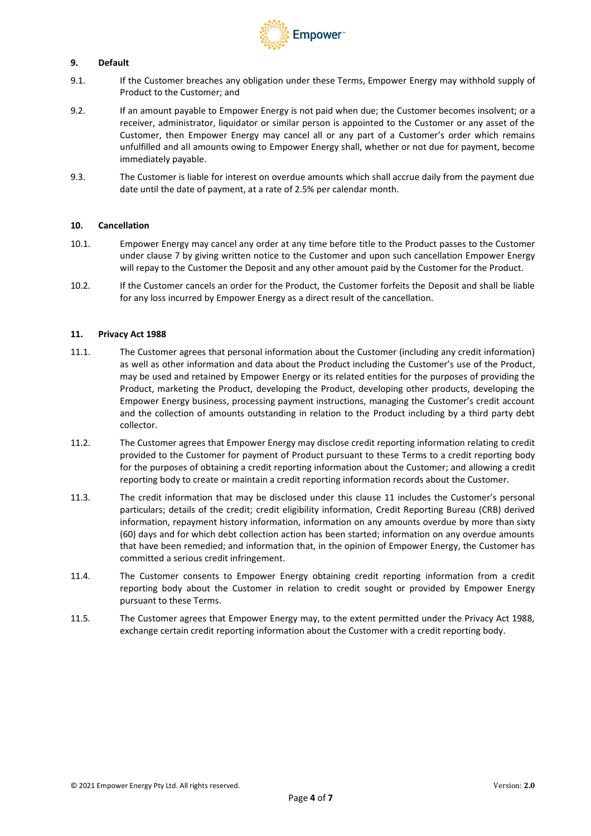

# **9. Default**

- 9.1. If the Customer breaches any obligation under these Terms, Empower Energy may withhold supply of Product to the Customer; and
- 9.2. If an amount payable to Empower Energy is not paid when due; the Customer becomes insolvent; or a receiver, administrator, liquidator or similar person is appointed to the Customer or any asset of the Customer, then Empower Energy may cancel all or any part of a Customer's order which remains unfulfilled and all amounts owing to Empower Energy shall, whether or not due for payment, become immediately payable.
- 9.3. The Customer is liable for interest on overdue amounts which shall accrue daily from the payment due date until the date of payment, at a rate of 2.5% per calendar month.

## **10. Cancellation**

- 10.1. Empower Energy may cancel any order at any time before title to the Product passes to the Customer under clause [7](#page-2-0) by giving written notice to the Customer and upon such cancellation Empower Energy will repay to the Customer the Deposit and any other amount paid by the Customer for the Product.
- 10.2. If the Customer cancels an order for the Product, the Customer forfeits the Deposit and shall be liable for any loss incurred by Empower Energy as a direct result of the cancellation.

### <span id="page-3-0"></span>**11. Privacy Act 1988**

- 11.1. The Customer agrees that personal information about the Customer (including any credit information) as well as other information and data about the Product including the Customer's use of the Product, may be used and retained by Empower Energy or its related entities for the purposes of providing the Product, marketing the Product, developing the Product, developing other products, developing the Empower Energy business, processing payment instructions, managing the Customer's credit account and the collection of amounts outstanding in relation to the Product including by a third party debt collector.
- 11.2. The Customer agrees that Empower Energy may disclose credit reporting information relating to credit provided to the Customer for payment of Product pursuant to these Terms to a credit reporting body for the purposes of obtaining a credit reporting information about the Customer; and allowing a credit reporting body to create or maintain a credit reporting information records about the Customer.
- 11.3. The credit information that may be disclosed under this clause [11](#page-3-0) includes the Customer's personal particulars; details of the credit; credit eligibility information, Credit Reporting Bureau (CRB) derived information, repayment history information, information on any amounts overdue by more than sixty (60) days and for which debt collection action has been started; information on any overdue amounts that have been remedied; and information that, in the opinion of Empower Energy, the Customer has committed a serious credit infringement.
- 11.4. The Customer consents to Empower Energy obtaining credit reporting information from a credit reporting body about the Customer in relation to credit sought or provided by Empower Energy pursuant to these Terms.
- 11.5. The Customer agrees that Empower Energy may, to the extent permitted under the Privacy Act 1988, exchange certain credit reporting information about the Customer with a credit reporting body.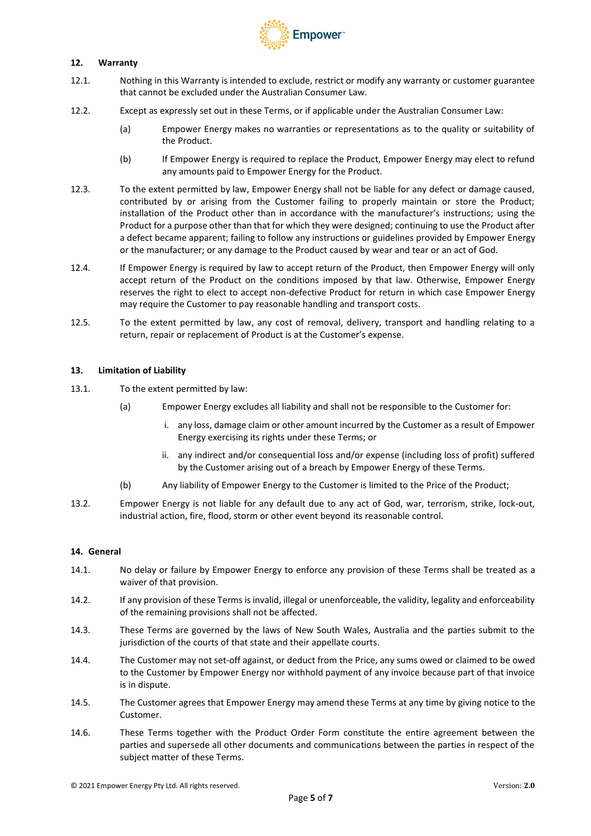

# **12. Warranty**

- 12.1. Nothing in this Warranty is intended to exclude, restrict or modify any warranty or customer guarantee that cannot be excluded under the Australian Consumer Law.
- 12.2. Except as expressly set out in these Terms, or if applicable under the Australian Consumer Law:
	- (a) Empower Energy makes no warranties or representations as to the quality or suitability of the Product.
	- (b) If Empower Energy is required to replace the Product, Empower Energy may elect to refund any amounts paid to Empower Energy for the Product.
- <span id="page-4-0"></span>12.3. To the extent permitted by law, Empower Energy shall not be liable for any defect or damage caused, contributed by or arising from the Customer failing to properly maintain or store the Product; installation of the Product other than in accordance with the manufacturer's instructions; using the Product for a purpose other than that for which they were designed; continuing to use the Product after a defect became apparent; failing to follow any instructions or guidelines provided by Empower Energy or the manufacturer; or any damage to the Product caused by wear and tear or an act of God.
- 12.4. If Empower Energy is required by law to accept return of the Product, then Empower Energy will only accept return of the Product on the conditions imposed by that law. Otherwise, Empower Energy reserves the right to elect to accept non-defective Product for return in which case Empower Energy may require the Customer to pay reasonable handling and transport costs.
- 12.5. To the extent permitted by law, any cost of removal, delivery, transport and handling relating to a return, repair or replacement of Product is at the Customer's expense.

### <span id="page-4-1"></span>**13. Limitation of Liability**

- 13.1. To the extent permitted by law:
	- (a) Empower Energy excludes all liability and shall not be responsible to the Customer for:
		- i. any loss, damage claim or other amount incurred by the Customer as a result of Empower Energy exercising its rights under these Terms; or
		- ii. any indirect and/or consequential loss and/or expense (including loss of profit) suffered by the Customer arising out of a breach by Empower Energy of these Terms.
	- (b) Any liability of Empower Energy to the Customer is limited to the Price of the Product;
- 13.2. Empower Energy is not liable for any default due to any act of God, war, terrorism, strike, lock-out, industrial action, fire, flood, storm or other event beyond its reasonable control.

## **14. General**

- 14.1. No delay or failure by Empower Energy to enforce any provision of these Terms shall be treated as a waiver of that provision.
- 14.2. If any provision of these Terms isinvalid, illegal or unenforceable, the validity, legality and enforceability of the remaining provisions shall not be affected.
- 14.3. These Terms are governed by the laws of New South Wales, Australia and the parties submit to the jurisdiction of the courts of that state and their appellate courts.
- 14.4. The Customer may not set-off against, or deduct from the Price, any sums owed or claimed to be owed to the Customer by Empower Energy nor withhold payment of any invoice because part of that invoice is in dispute.
- 14.5. The Customer agrees that Empower Energy may amend these Terms at any time by giving notice to the Customer.
- 14.6. These Terms together with the Product Order Form constitute the entire agreement between the parties and supersede all other documents and communications between the parties in respect of the subject matter of these Terms.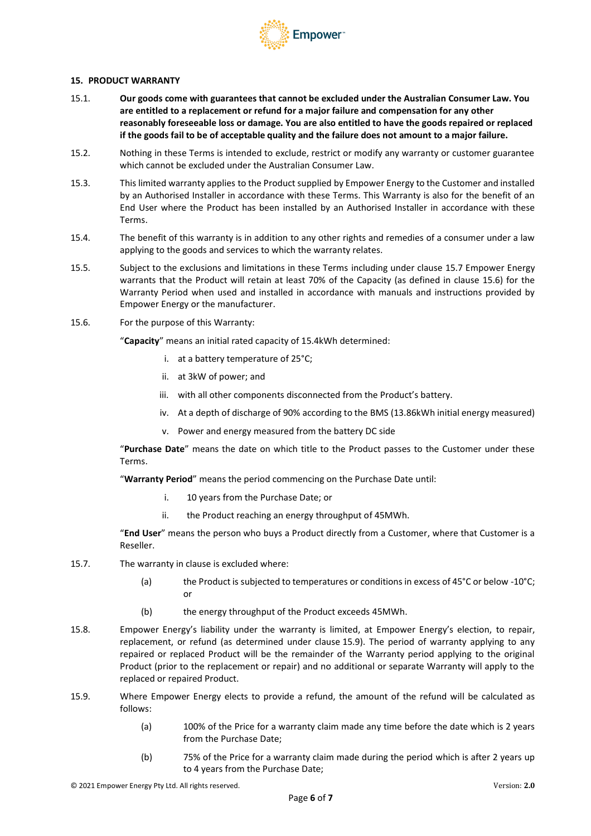

### <span id="page-5-1"></span>**15. PRODUCT WARRANTY**

- 15.1. **Our goods come with guarantees that cannot be excluded under the Australian Consumer Law. You are entitled to a replacement or refund for a major failure and compensation for any other reasonably foreseeable loss or damage. You are also entitled to have the goods repaired or replaced if the goods fail to be of acceptable quality and the failure does not amount to a major failure.**
- 15.2. Nothing in these Terms is intended to exclude, restrict or modify any warranty or customer guarantee which cannot be excluded under the Australian Consumer Law.
- 15.3. This limited warranty applies to the Product supplied by Empower Energy to the Customer and installed by an Authorised Installer in accordance with these Terms. This Warranty is also for the benefit of an End User where the Product has been installed by an Authorised Installer in accordance with these Terms.
- 15.4. The benefit of this warranty is in addition to any other rights and remedies of a consumer under a law applying to the goods and services to which the warranty relates.
- 15.5. Subject to the exclusions and limitations in these Terms including under clause 15.7 Empower Energy warrants that the Product will retain at least 70% of the Capacity (as defined in clause 15.6) for the Warranty Period when used and installed in accordance with manuals and instructions provided by Empower Energy or the manufacturer.
- 15.6. For the purpose of this Warranty:

"**Capacity**" means an initial rated capacity of 15.4kWh determined:

- i. at a battery temperature of 25°C;
- ii. at 3kW of power; and
- iii. with all other components disconnected from the Product's battery.
- iv. At a depth of discharge of 90% according to the BMS (13.86kWh initial energy measured)
- v. Power and energy measured from the battery DC side

"**Purchase Date**" means the date on which title to the Product passes to the Customer under these Terms.

"**Warranty Period**" means the period commencing on the Purchase Date until:

- i. 10 years from the Purchase Date; or
- ii. the Product reaching an energy throughput of 45MWh.

"**End User**" means the person who buys a Product directly from a Customer, where that Customer is a Reseller.

- 15.7. The warranty in clause is excluded where:
	- (a) the Product is subjected to temperatures or conditions in excess of 45°C or below -10°C; or
	- (b) the energy throughput of the Product exceeds 45MWh.
- 15.8. Empower Energy's liability under the warranty is limited, at Empower Energy's election, to repair, replacement, or refund (as determined under clause [15.9](#page-5-0)). The period of warranty applying to any repaired or replaced Product will be the remainder of the Warranty period applying to the original Product (prior to the replacement or repair) and no additional or separate Warranty will apply to the replaced or repaired Product.
- <span id="page-5-0"></span>15.9. Where Empower Energy elects to provide a refund, the amount of the refund will be calculated as follows:
	- (a) 100% of the Price for a warranty claim made any time before the date which is 2 years from the Purchase Date;
	- (b) 75% of the Price for a warranty claim made during the period which is after 2 years up to 4 years from the Purchase Date;